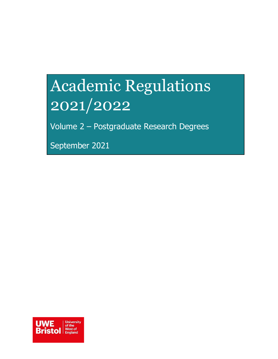# <span id="page-0-0"></span>Academic Regulations 2021/2022

Volume 2 – Postgraduate Research Degrees

September 2021

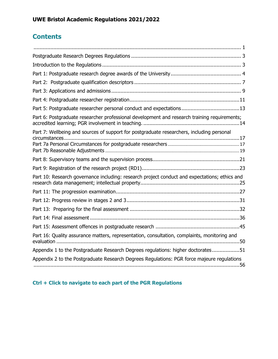### **Contents**

| Part 5: Postgraduate researcher personal conduct and expectations13                           |
|-----------------------------------------------------------------------------------------------|
| Part 6: Postgraduate researcher professional development and research training requirements;  |
| Part 7: Wellbeing and sources of support for postgraduate researchers, including personal     |
|                                                                                               |
|                                                                                               |
|                                                                                               |
| Part 10: Research governance including: research project conduct and expectations; ethics and |
|                                                                                               |
|                                                                                               |
|                                                                                               |
|                                                                                               |
|                                                                                               |
| Part 16: Quality assurance matters, representation, consultation, complaints, monitoring and  |
| Appendix 1 to the Postgraduate Research Degrees regulations: higher doctorates51              |
| Appendix 2 to the Postgraduate Research Degrees Regulations: PGR force majeure regulations    |

### **Ctrl + Click to navigate to each part of the PGR Regulations**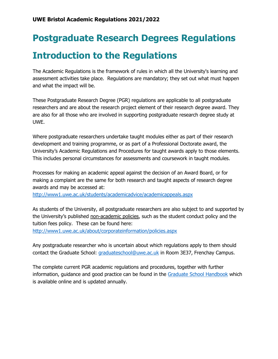# <span id="page-2-0"></span>**Postgraduate Research Degrees Regulations Introduction to the Regulations**

<span id="page-2-1"></span>The Academic Regulations is the framework of rules in which all the University's learning and assessment activities take place. Regulations are mandatory; they set out what must happen and what the impact will be.

These Postgraduate Research Degree (PGR) regulations are applicable to all postgraduate researchers and are about the research project element of their research degree award. They are also for all those who are involved in supporting postgraduate research degree study at UWE.

Where postgraduate researchers undertake taught modules either as part of their research development and training programme, or as part of a Professional Doctorate award, the University's Academic Regulations and Procedures for taught awards apply to those elements. This includes personal circumstances for assessments and coursework in taught modules.

Processes for making an academic appeal against the decision of an Award Board, or for making a complaint are the same for both research and taught aspects of research degree awards and may be accessed at:

<http://www1.uwe.ac.uk/students/academicadvice/academicappeals.aspx>

As students of the University, all postgraduate researchers are also subject to and supported by the University's published non-academic policies, such as the student conduct policy and the tuition fees policy. These can be found here: <http://www1.uwe.ac.uk/about/corporateinformation/policies.aspx>

Any postgraduate researcher who is uncertain about which regulations apply to them should contact the Graduate School: [graduateschool@uwe.ac.uk](mailto:graduateschool@uwe.ac.uk) in Room 3E37, Frenchay Campus.

The complete current PGR academic regulations and procedures, together with further information, guidance and good practice can be found in the [Graduate School Handbook](https://www1.uwe.ac.uk/research/postgraduateresearchstudy/currentpgresearchers/graduateschoolhandbook.aspx) which is available online and is updated annually.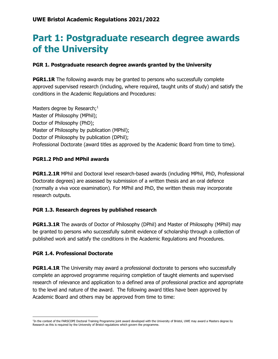### <span id="page-3-0"></span>**Part 1: Postgraduate research degree awards of the University**

#### **PGR 1. Postgraduate research degree awards granted by the University**

**PGR1.1R** The following awards may be granted to persons who successfully complete approved supervised research (including, where required, taught units of study) and satisfy the conditions in the Academic Regulations and Procedures:

Masters degree by Research;<sup>1</sup> Master of Philosophy (MPhil); Doctor of Philosophy (PhD); Master of Philosophy by publication (MPhil); Doctor of Philosophy by publication (DPhil); Professional Doctorate (award titles as approved by the Academic Board from time to time).

#### **PGR1.2 PhD and MPhil awards**

**PGR1.2.1R** MPhil and Doctoral level research-based awards (including MPhil, PhD, Professional Doctorate degrees) are assessed by submission of a written thesis and an oral defence (normally a viva voce examination). For MPhil and PhD, the written thesis may incorporate research outputs.

#### **PGR 1.3. Research degrees by published research**

**PGR1.3.1R** The awards of Doctor of Philosophy (DPhil) and Master of Philosophy (MPhil) may be granted to persons who successfully submit evidence of scholarship through a collection of published work and satisfy the conditions in the Academic Regulations and Procedures.

#### **PGR 1.4. Professional Doctorate**

**PGR1.4.1R** The University may award a professional doctorate to persons who successfully complete an approved programme requiring completion of taught elements and supervised research of relevance and application to a defined area of professional practice and appropriate to the level and nature of the award. The following award titles have been approved by Academic Board and others may be approved from time to time:

 $\overline{a}$ 1 In the context of the FARSCOPE Doctoral Training Programme joint award developed with the University of Bristol, UWE may award a Masters degree by Research as this is required by the University of Bristol regulations which govern the programme.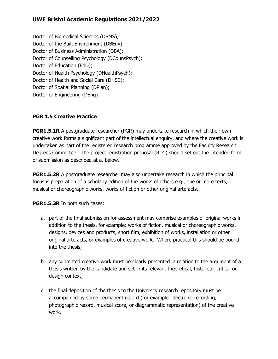Doctor of Biomedical Sciences (DBMS); Doctor of the Built Environment (DBEnv); Doctor of Business Administration (DBA); Doctor of Counselling Psychology (DCounsPsych); Doctor of Education (EdD); Doctor of Health Psychology (DHealthPsych); Doctor of Health and Social Care (DHSC); Doctor of Spatial Planning (DPlan); Doctor of Engineering (DEng).

#### **PGR 1.5 Creative Practice**

**PGR1.5.1R** A postgraduate researcher (PGR) may undertake research in which their own creative work forms a significant part of the intellectual enquiry, and where the creative work is undertaken as part of the registered research programme approved by the Faculty Research Degrees Committee. The project registration proposal (RD1) should set out the intended form of submission as described at a. below.

**PGR1.5.2R** A postgraduate researcher may also undertake research in which the principal focus is preparation of a scholarly edition of the works of others e.g., one or more texts, musical or choreographic works, works of fiction or other original artefacts.

**PGR1.5.3R** In both such cases:

- a. part of the final submission for assessment may comprise examples of original works in addition to the thesis, for example: works of fiction, musical or choreographic works, designs, devices and products, short film, exhibition of works, installation or other original artefacts, or examples of creative work. Where practical this should be bound into the thesis;
- b. any submitted creative work must be clearly presented in relation to the argument of a thesis written by the candidate and set in its relevant theoretical, historical, critical or design context;
- c. the final deposition of the thesis to the University research repository must be accompanied by some permanent record (for example, electronic recording, photographic record, musical score, or diagrammatic representation) of the creative work.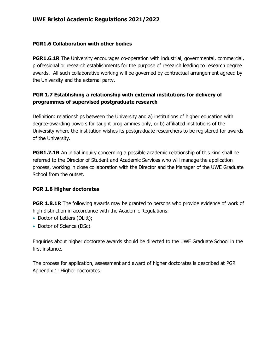#### **PGR1.6 Collaboration with other bodies**

**PGR1.6.1R** The University encourages co-operation with industrial, governmental, commercial, professional or research establishments for the purpose of research leading to research degree awards. All such collaborative working will be governed by contractual arrangement agreed by the University and the external party.

#### **PGR 1.7 Establishing a relationship with external institutions for delivery of programmes of supervised postgraduate research**

Definition: relationships between the University and a) institutions of higher education with degree-awarding powers for taught programmes only, or b) affiliated institutions of the University where the institution wishes its postgraduate researchers to be registered for awards of the University.

**PGR1.7.1R** An initial inquiry concerning a possible academic relationship of this kind shall be referred to the Director of Student and Academic Services who will manage the application process, working in close collaboration with the Director and the Manager of the UWE Graduate School from the outset.

#### **PGR 1.8 Higher doctorates**

**PGR 1.8.1R** The following awards may be granted to persons who provide evidence of work of high distinction in accordance with the Academic Regulations:

- Doctor of Letters (DLitt);
- Doctor of Science (DSc).

Enquiries about higher doctorate awards should be directed to the UWE Graduate School in the first instance.

The process for application, assessment and award of higher doctorates is described at PGR Appendix 1: Higher doctorates.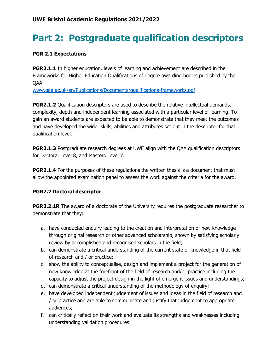# <span id="page-6-0"></span>**Part 2: Postgraduate qualification descriptors**

#### **PGR 2.1 Expectations**

**PGR2.1.1** In higher education, levels of learning and achievement are described in the Frameworks for Higher Education Qualifications of degree awarding bodies published by the QAA.

[www.qaa.ac.uk/en/Publications/Documents/qualifications-frameworks.pdf](http://www.qaa.ac.uk/en/Publications/Documents/qualifications-frameworks.pdf)

**PGR2.1.2** Qualification descriptors are used to describe the relative intellectual demands, complexity, depth and independent learning associated with a particular level of learning. To gain an award students are expected to be able to demonstrate that they meet the outcomes and have developed the wider skills, abilities and attributes set out in the descriptor for that qualification level.

**PGR2.1.3** Postgraduate research degrees at UWE align with the QAA qualification descriptors for Doctoral Level 8, and Masters Level 7.

**PGR2.1.4** For the purposes of these regulations the written thesis is a document that must allow the appointed examination panel to assess the work against the criteria for the award.

#### **PGR2.2 Doctoral descriptor**

**PGR2.2.1R** The award of a doctorate of the University requires the postgraduate researcher to demonstrate that they:

- a. have conducted enquiry leading to the creation and interpretation of new knowledge through original research or other advanced scholarship, shown by satisfying scholarly review by accomplished and recognised scholars in the field;
- b. can demonstrate a critical understanding of the current state of knowledge in that field of research and / or practice;
- c. show the ability to conceptualise, design and implement a project for the generation of new knowledge at the forefront of the field of research and/or practice including the capacity to adjust the project design in the light of emergent issues and understandings;
- d. can demonstrate a critical understanding of the methodology of enquiry;
- e. have developed independent judgement of issues and ideas in the field of research and / or practice and are able to communicate and justify that judgement to appropriate audiences;
- f. can critically reflect on their work and evaluate its strengths and weaknesses including understanding validation procedures.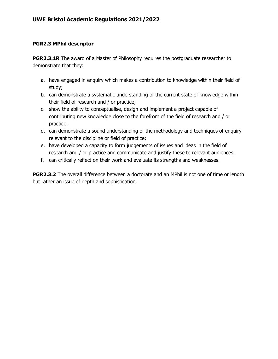#### **PGR2.3 MPhil descriptor**

**PGR2.3.1R** The award of a Master of Philosophy requires the postgraduate researcher to demonstrate that they:

- a. have engaged in enquiry which makes a contribution to knowledge within their field of study;
- b. can demonstrate a systematic understanding of the current state of knowledge within their field of research and / or practice;
- c. show the ability to conceptualise, design and implement a project capable of contributing new knowledge close to the forefront of the field of research and / or practice;
- d. can demonstrate a sound understanding of the methodology and techniques of enquiry relevant to the discipline or field of practice;
- e. have developed a capacity to form judgements of issues and ideas in the field of research and / or practice and communicate and justify these to relevant audiences;
- f. can critically reflect on their work and evaluate its strengths and weaknesses.

**PGR2.3.2** The overall difference between a doctorate and an MPhil is not one of time or length but rather an issue of depth and sophistication.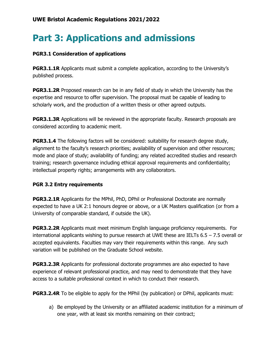# <span id="page-8-0"></span>**Part 3: Applications and admissions**

#### **PGR3.1 Consideration of applications**

**PGR3.1.1R** Applicants must submit a complete application, according to the University's published process.

**PGR3.1.2R** Proposed research can be in any field of study in which the University has the expertise and resource to offer supervision. The proposal must be capable of leading to scholarly work, and the production of a written thesis or other agreed outputs.

**PGR3.1.3R** Applications will be reviewed in the appropriate faculty. Research proposals are considered according to academic merit.

**PGR3.1.4** The following factors will be considered: suitability for research degree study, alignment to the faculty's research priorities; availability of supervision and other resources; mode and place of study; availability of funding; any related accredited studies and research training; research governance including ethical approval requirements and confidentiality; intellectual property rights; arrangements with any collaborators.

#### **PGR 3.2 Entry requirements**

**PGR3.2.1R** Applicants for the MPhil, PhD, DPhil or Professional Doctorate are normally expected to have a UK 2:1 honours degree or above, or a UK Masters qualification (or from a University of comparable standard, if outside the UK).

**PGR3.2.2R** Applicants must meet minimum English language proficiency requirements. For international applicants wishing to pursue research at UWE these are IELTs 6.5 – 7.5 overall or accepted equivalents. Faculties may vary their requirements within this range. Any such variation will be published on the Graduate School website.

**PGR3.2.3R** Applicants for professional doctorate programmes are also expected to have experience of relevant professional practice, and may need to demonstrate that they have access to a suitable professional context in which to conduct their research.

**PGR3.2.4R** To be eligible to apply for the MPhil (by publication) or DPhil, applicants must:

a) Be employed by the University or an affiliated academic institution for a minimum of one year, with at least six months remaining on their contract;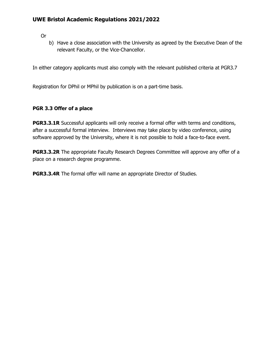Or

b) Have a close association with the University as agreed by the Executive Dean of the relevant Faculty, or the Vice-Chancellor.

In either category applicants must also comply with the relevant published criteria at PGR3.7

Registration for DPhil or MPhil by publication is on a part-time basis.

#### **PGR 3.3 Offer of a place**

**PGR3.3.1R** Successful applicants will only receive a formal offer with terms and conditions, after a successful formal interview. Interviews may take place by video conference, using software approved by the University, where it is not possible to hold a face-to-face event.

**PGR3.3.2R** The appropriate Faculty Research Degrees Committee will approve any offer of a place on a research degree programme.

**PGR3.3.4R** The formal offer will name an appropriate Director of Studies.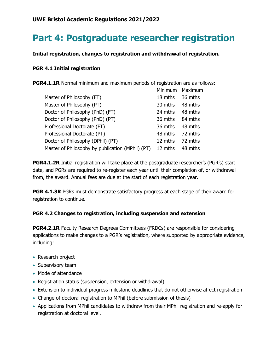# <span id="page-10-0"></span>**Part 4: Postgraduate researcher registration**

**Initial registration, changes to registration and withdrawal of registration.**

#### **PGR 4.1 Initial registration**

**PGR4.1.1R** Normal minimum and maximum periods of registration are as follows:

|                                                  | Minimum | Maximum |
|--------------------------------------------------|---------|---------|
| Master of Philosophy (FT)                        | 18 mths | 36 mths |
| Master of Philosophy (PT)                        | 30 mths | 48 mths |
| Doctor of Philosophy (PhD) (FT)                  | 24 mths | 48 mths |
| Doctor of Philosophy (PhD) (PT)                  | 36 mths | 84 mths |
| Professional Doctorate (FT)                      | 36 mths | 48 mths |
| Professional Doctorate (PT)                      | 48 mths | 72 mths |
| Doctor of Philosophy (DPhil) (PT)                | 12 mths | 72 mths |
| Master of Philosophy by publication (MPhil) (PT) | 12 mths | 48 mths |

**PGR4.1.2R** Initial registration will take place at the postgraduate researcher's (PGR's) start date, and PGRs are required to re-register each year until their completion of, or withdrawal from, the award. Annual fees are due at the start of each registration year.

**PGR 4.1.3R** PGRs must demonstrate satisfactory progress at each stage of their award for registration to continue.

#### **PGR 4.2 Changes to registration, including suspension and extension**

**PGR4.2.1R** Faculty Research Degrees Committees (FRDCs) are responsible for considering applications to make changes to a PGR's registration, where supported by appropriate evidence, including:

- Research project
- Supervisory team
- Mode of attendance
- Registration status (suspension, extension or withdrawal)
- Extension to individual progress milestone deadlines that do not otherwise affect registration
- Change of doctoral registration to MPhil (before submission of thesis)
- Applications from MPhil candidates to withdraw from their MPhil registration and re-apply for registration at doctoral level.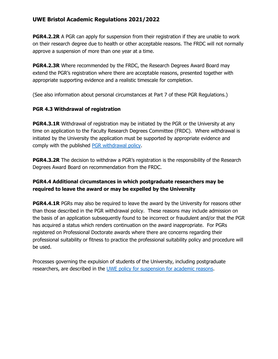**PGR4.2.2R** A PGR can apply for suspension from their registration if they are unable to work on their research degree due to health or other acceptable reasons. The FRDC will not normally approve a suspension of more than one year at a time.

**PGR4.2.3R** Where recommended by the FRDC, the Research Degrees Award Board may extend the PGR's registration where there are acceptable reasons, presented together with appropriate supporting evidence and a realistic timescale for completion.

(See also information about personal circumstances at Part 7 of these PGR Regulations.)

#### **PGR 4.3 Withdrawal of registration**

**PGR4.3.1R** Withdrawal of registration may be initiated by the PGR or the University at any time on application to the Faculty Research Degrees Committee (FRDC). Where withdrawal is initiated by the University the application must be supported by appropriate evidence and comply with the published [PGR withdrawal policy.](https://www2.uwe.ac.uk/services/Marketing/research/pdf/graduate-school/Withdrawal_Policy_and_Guidance_Notes.pdf)

**PGR4.3.2R** The decision to withdraw a PGR's registration is the responsibility of the Research Degrees Award Board on recommendation from the FRDC.

#### **PGR4.4 Additional circumstances in which postgraduate researchers may be required to leave the award or may be expelled by the University**

**PGR4.4.1R** PGRs may also be required to leave the award by the University for reasons other than those described in the PGR withdrawal policy. These reasons may include admission on the basis of an application subsequently found to be incorrect or fraudulent and/or that the PGR has acquired a status which renders continuation on the award inappropriate. For PGRs registered on Professional Doctorate awards where there are concerns regarding their professional suitability or fitness to practice the professional suitability policy and procedure will be used.

Processes governing the expulsion of students of the University, including postgraduate researchers, are described in the [UWE policy for suspension for academic reasons.](https://www1.uwe.ac.uk/about/departmentsandservices/professionalservices/studentandacademicservices/regulationspoliciesquality/regulationsandprocedures/suspensionforacademicreason.aspx)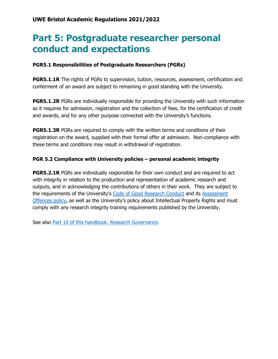### <span id="page-12-0"></span>**Part 5: Postgraduate researcher personal conduct and expectations**

#### **PGR5.1 Responsibilities of Postgraduate Researchers (PGRs)**

**PGR5.1.1R** The rights of PGRs to supervision, tuition, resources, assessment, certification and conferment of an award are subject to remaining in good standing with the University.

**PGR5.1.2R** PGRs are individually responsible for providing the University with such information as it requires for admission, registration and the collection of fees, for the certification of credit and awards, and for any other purpose connected with the University's functions.

**PGR5.1.3R** PGRs are required to comply with the written terms and conditions of their registration on the award, supplied with their formal offer at admission. Non-compliance with these terms and conditions may result in withdrawal of registration.

#### **PGR 5.2 Compliance with University policies – personal academic integrity**

**PGR5.2.1R** PGRs are individually responsible for their own conduct and are required to act with integrity in relation to the production and representation of academic research and outputs, and in acknowledging the contributions of others in their work. They are subject to the requirements of the University's [Code of Good Research Conduct](http://www1.uwe.ac.uk/research/researchgovernance.aspx) and its [Assessment](http://www1.uwe.ac.uk/students/academicadvice/assessments/assessmentoffences.aspx)  [Offences policy](http://www1.uwe.ac.uk/students/academicadvice/assessments/assessmentoffences.aspx), as well as the University's policy about Intellectual Property Rights and must comply with any research integrity training requirements published by the University.

See also [Part 10 of this handbook: Research Governance.](https://www1.uwe.ac.uk/research/postgraduateresearchstudy/currentpgresearchers/graduateschoolhandbook/part10-researchgovernance.aspx)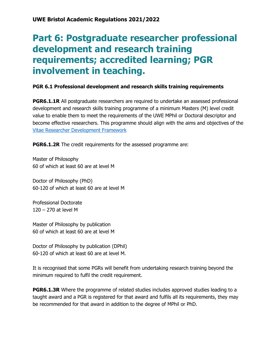### <span id="page-13-0"></span>**Part 6: Postgraduate researcher professional development and research training requirements; accredited learning; PGR involvement in teaching.**

#### **PGR 6.1 Professional development and research skills training requirements**

**PGR6.1.1R** All postgraduate researchers are required to undertake an assessed professional development and research skills training programme of a minimum Masters (M) level credit value to enable them to meet the requirements of the UWE MPhil or Doctoral descriptor and become effective researchers. This programme should align with the aims and objectives of the [Vitae Researcher Development Framework](https://www.vitae.ac.uk/researchers-professional-development/about-the-vitae-researcher-development-framework)

**PGR6.1.2R** The credit requirements for the assessed programme are:

Master of Philosophy 60 of which at least 60 are at level M

Doctor of Philosophy (PhD) 60-120 of which at least 60 are at level M

Professional Doctorate 120 – 270 at level M

Master of Philosophy by publication 60 of which at least 60 are at level M

Doctor of Philosophy by publication (DPhil) 60-120 of which at least 60 are at level M.

It is recognised that some PGRs will benefit from undertaking research training beyond the minimum required to fulfil the credit requirement.

**PGR6.1.3R** Where the programme of related studies includes approved studies leading to a taught award and a PGR is registered for that award and fulfils all its requirements, they may be recommended for that award in addition to the degree of MPhil or PhD.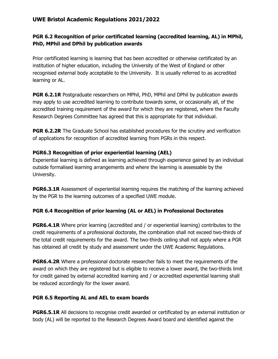#### **PGR 6.2 Recognition of prior certificated learning (accredited learning, AL) in MPhil, PhD, MPhil and DPhil by publication awards**

Prior certificated learning is learning that has been accredited or otherwise certificated by an institution of higher education, including the University of the West of England or other recognised external body acceptable to the University. It is usually referred to as accredited learning or AL.

**PGR 6.2.1R** Postgraduate researchers on MPhil, PhD, MPhil and DPhil by publication awards may apply to use accredited learning to contribute towards some, or occasionally all, of the accredited training requirement of the award for which they are registered, where the Faculty Research Degrees Committee has agreed that this is appropriate for that individual.

**PGR 6.2.2R** The Graduate School has established procedures for the scrutiny and verification of applications for recognition of accredited learning from PGRs in this respect.

#### **PGR6.3 Recognition of prior experiential learning (AEL)**

Experiential learning is defined as learning achieved through experience gained by an individual outside formalised learning arrangements and where the learning is assessable by the University.

**PGR6.3.1R** Assessment of experiential learning requires the matching of the learning achieved by the PGR to the learning outcomes of a specified UWE module.

#### **PGR 6.4 Recognition of prior learning (AL or AEL) in Professional Doctorates**

**PGR6.4.1R** Where prior learning (accredited and / or experiential learning) contributes to the credit requirements of a professional doctorate, the combination shall not exceed two-thirds of the total credit requirements for the award. The two-thirds ceiling shall not apply where a PGR has obtained all credit by study and assessment under the UWE Academic Regulations.

**PGR6.4.2R** Where a professional doctorate researcher fails to meet the requirements of the award on which they are registered but is eligible to receive a lower award, the two-thirds limit for credit gained by external accredited learning and / or accredited experiential learning shall be reduced accordingly for the lower award.

#### **PGR 6.5 Reporting AL and AEL to exam boards**

**PGR6.5.1R** All decisions to recognise credit awarded or certificated by an external institution or body (AL) will be reported to the Research Degrees Award board and identified against the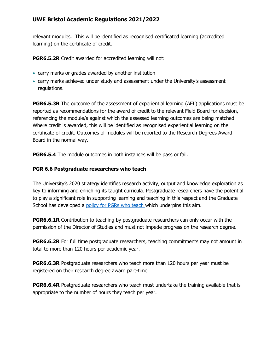relevant modules. This will be identified as recognised certificated learning (accredited learning) on the certificate of credit.

**PGR6.5.2R** Credit awarded for accredited learning will not:

- carry marks or grades awarded by another institution
- carry marks achieved under study and assessment under the University's assessment regulations.

**PGR6.5.3R** The outcome of the assessment of experiential learning (AEL) applications must be reported as recommendations for the award of credit to the relevant Field Board for decision, referencing the module/s against which the assessed learning outcomes are being matched. Where credit is awarded, this will be identified as recognised experiential learning on the certificate of credit. Outcomes of modules will be reported to the Research Degrees Award Board in the normal way.

**PGR6.5.4** The module outcomes in both instances will be pass or fail.

#### **PGR 6.6 Postgraduate researchers who teach**

The University's 2020 strategy identifies research activity, output and knowledge exploration as key to informing and enriching its taught curricula. Postgraduate researchers have the potential to play a significant role in supporting learning and teaching in this respect and the Graduate School has developed a [policy for PGRs who teach w](http://www1.uwe.ac.uk/research/postgraduateresearchstudy/studysupport/guidanceandregulations.aspx)hich underpins this aim.

**PGR6.6.1R** Contribution to teaching by postgraduate researchers can only occur with the permission of the Director of Studies and must not impede progress on the research degree.

**PGR6.6.2R** For full time postgraduate researchers, teaching commitments may not amount in total to more than 120 hours per academic year.

**PGR6.6.3R** Postgraduate researchers who teach more than 120 hours per year must be registered on their research degree award part-time.

**PGR6.6.4R** Postgraduate researchers who teach must undertake the training available that is appropriate to the number of hours they teach per year.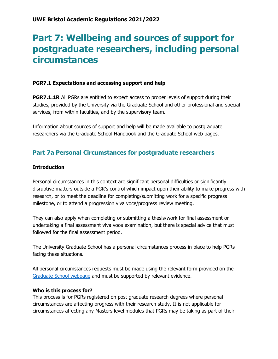### <span id="page-16-0"></span>**Part 7: Wellbeing and sources of support for postgraduate researchers, including personal circumstances**

#### **PGR7.1 Expectations and accessing support and help**

**PGR7.1.1R** All PGRs are entitled to expect access to proper levels of support during their studies, provided by the University via the Graduate School and other professional and special services, from within faculties, and by the supervisory team.

Information about sources of support and help will be made available to postgraduate researchers via the Graduate School Handbook and the Graduate School web pages.

### <span id="page-16-1"></span>**Part 7a Personal Circumstances for postgraduate researchers**

#### **Introduction**

Personal circumstances in this context are significant personal difficulties or significantly disruptive matters outside a PGR's control which impact upon their ability to make progress with research, or to meet the deadline for completing/submitting work for a specific progress milestone, or to attend a progression viva voce/progress review meeting.

They can also apply when completing or submitting a thesis/work for final assessment or undertaking a final assessment viva voce examination, but there is special advice that must followed for the final assessment period.

The University Graduate School has a personal circumstances process in place to help PGRs facing these situations.

All personal circumstances requests must be made using the relevant form provided on the [Graduate School webpage](http://www1.uwe.ac.uk/research/postgraduateresearchstudy/currentpgresearchers/researchdegreeforms.aspx) and must be supported by relevant evidence.

#### **Who is this process for?**

This process is for PGRs registered on post graduate research degrees where personal circumstances are affecting progress with their research study. It is not applicable for circumstances affecting any Masters level modules that PGRs may be taking as part of their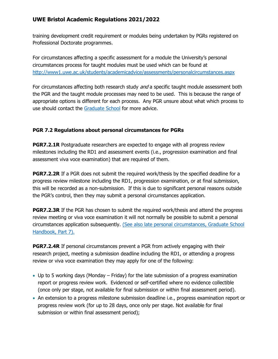training development credit requirement or modules being undertaken by PGRs registered on Professional Doctorate programmes.

For circumstances affecting a specific assessment for a module the University's personal circumstances process for taught modules must be used which can be found at [http://www1.uwe.ac.uk/students/academicadvice/assessments/personalcircumstances.aspx](http://www1.uwe.ac.uk/students/academicadvice/assessments/extenuatingcircumstances.aspx)

For circumstances affecting both research study *and* a specific taught module assessment both the PGR and the taught module processes may need to be used. This is because the range of appropriate options is different for each process. Any PGR unsure about what which process to use should contact the [Graduate School](http://www1.uwe.ac.uk/research/postgraduateresearchstudy/contactuwegraduateschool.aspx) for more advice.

#### **PGR 7.2 Regulations about personal circumstances for PGRs**

**PGR7.2.1R** Postgraduate researchers are expected to engage with all progress review milestones including the RD1 and assessment events (i.e., progression examination and final assessment viva voce examination) that are required of them.

**PGR7.2.2R** If a PGR does not submit the required work/thesis by the specified deadline for a progress review milestone including the RD1, progression examination, or at final submission, this will be recorded as a non-submission. If this is due to significant personal reasons outside the PGR's control, then they may submit a personal circumstances application.

**PGR7.2.3R** If the PGR has chosen to submit the required work/thesis and attend the progress review meeting or viva voce examination it will not normally be possible to submit a personal circumstances application subsequently. [\(See also late personal circumstances, Graduate School](https://www.uwe.ac.uk/research/postgraduate-research-study/current-postgraduate-researchers/graduate-school-handbook/part-seven-wellbeing-and-support/applying-for-personal-circumstances#a1c1f0dcd-ab58-4307-b746-d107c1d656c4)  [Handbook, Part 7\).](https://www.uwe.ac.uk/research/postgraduate-research-study/current-postgraduate-researchers/graduate-school-handbook/part-seven-wellbeing-and-support/applying-for-personal-circumstances#a1c1f0dcd-ab58-4307-b746-d107c1d656c4)

**PGR7.2.4R** If personal circumstances prevent a PGR from actively engaging with their research project, meeting a submission deadline including the RD1, or attending a progress review or viva voce examination they may apply for one of the following:

- Up to 5 working days (Monday Friday) for the late submission of a progress examination report or progress review work. Evidenced or self-certified where no evidence collectible (once only per stage, not available for final submission or within final assessment period).
- An extension to a progress milestone submission deadline i.e., progress examination report or progress review work (for up to 28 days, once only per stage. Not available for final submission or within final assessment period);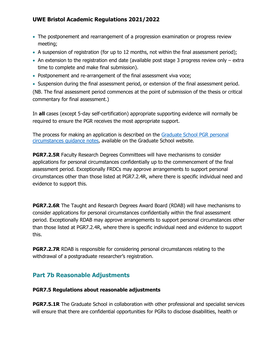- The postponement and rearrangement of a progression examination or progress review meeting;
- A suspension of registration (for up to 12 months, not within the final assessment period);
- An extension to the registration end date (available post stage 3 progress review only extra time to complete and make final submission).
- Postponement and re-arrangement of the final assessment viva voce;
- Suspension during the final assessment period, or extension of the final assessment period.

(NB. The final assessment period commences at the point of submission of the thesis or critical commentary for final assessment.)

In **all** cases (except 5-day self-certification) appropriate supporting evidence will normally be required to ensure the PGR receives the most appropriate support.

The process for making an application is described on the [Graduate School PGR personal](http://www1.uwe.ac.uk/research/postgraduateresearchstudy/studysupport/applyingforresearchstudy-7.aspx)  [circumstances guidance notes,](http://www1.uwe.ac.uk/research/postgraduateresearchstudy/studysupport/applyingforresearchstudy-7.aspx) available on the Graduate School website.

**PGR7.2.5R** Faculty Research Degrees Committees will have mechanisms to consider applications for personal circumstances confidentially up to the commencement of the final assessment period. Exceptionally FRDCs may approve arrangements to support personal circumstances other than those listed at PGR7.2.4R, where there is specific individual need and evidence to support this.

**PGR7.2.6R** The Taught and Research Degrees Award Board (RDAB) will have mechanisms to consider applications for personal circumstances confidentially within the final assessment period. Exceptionally RDAB may approve arrangements to support personal circumstances other than those listed at PGR7.2.4R, where there is specific individual need and evidence to support this.

**PGR7.2.7R** RDAB is responsible for considering personal circumstances relating to the withdrawal of a postgraduate researcher's registration.

### <span id="page-18-0"></span>**Part 7b Reasonable Adjustments**

#### **PGR7.5 Regulations about reasonable adjustments**

**PGR7.5.1R** The Graduate School in collaboration with other professional and specialist services will ensure that there are confidential opportunities for PGRs to disclose disabilities, health or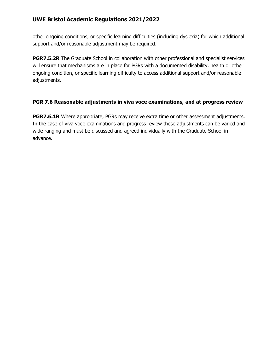other ongoing conditions, or specific learning difficulties (including dyslexia) for which additional support and/or reasonable adjustment may be required.

**PGR7.5.2R** The Graduate School in collaboration with other professional and specialist services will ensure that mechanisms are in place for PGRs with a documented disability, health or other ongoing condition, or specific learning difficulty to access additional support and/or reasonable adjustments.

#### **PGR 7.6 Reasonable adjustments in viva voce examinations, and at progress review**

**PGR7.6.1R** Where appropriate, PGRs may receive extra time or other assessment adjustments. In the case of viva voce examinations and progress review these adjustments can be varied and wide ranging and must be discussed and agreed individually with the Graduate School in advance.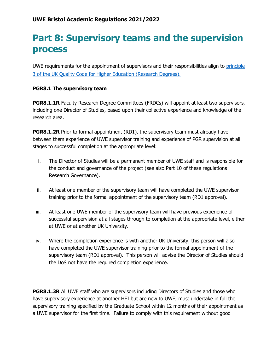# <span id="page-20-0"></span>**Part 8: Supervisory teams and the supervision process**

UWE requirements for the appointment of supervisors and their responsibilities align to principle [3 of the UK Quality Code for Higher Education \(Research Degrees\).](https://www.qaa.ac.uk/en/quality-code/advice-and-guidance/research-degrees)

#### **PGR8.1 The supervisory team**

**PGR8.1.1R** Faculty Research Degree Committees (FRDCs) will appoint at least two supervisors, including one Director of Studies, based upon their collective experience and knowledge of the research area.

**PGR8.1.2R** Prior to formal appointment (RD1), the supervisory team must already have between them experience of UWE supervisor training and experience of PGR supervision at all stages to successful completion at the appropriate level:

- i. The Director of Studies will be a permanent member of UWE staff and is responsible for the conduct and governance of the project (see also Part 10 of these regulations Research Governance).
- ii. At least one member of the supervisory team will have completed the UWE supervisor training prior to the formal appointment of the supervisory team (RD1 approval).
- iii. At least one UWE member of the supervisory team will have previous experience of successful supervision at all stages through to completion at the appropriate level, either at UWE or at another UK University.
- iv. Where the completion experience is with another UK University, this person will also have completed the UWE supervisor training prior to the formal appointment of the supervisory team (RD1 approval). This person will advise the Director of Studies should the DoS not have the required completion experience.

**PGR8.1.3R** All UWE staff who are supervisors including Directors of Studies and those who have supervisory experience at another HEI but are new to UWE, must undertake in full the supervisory training specified by the Graduate School within 12 months of their appointment as a UWE supervisor for the first time. Failure to comply with this requirement without good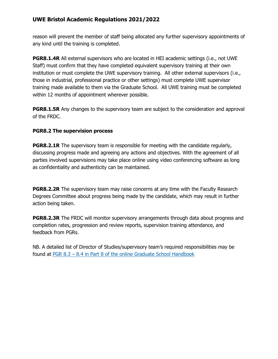reason will prevent the member of staff being allocated any further supervisory appointments of any kind until the training is completed.

**PGR8.1.4R** All external supervisors who are located in HEI academic settings (i.e., not UWE Staff) must confirm that they have completed equivalent supervisory training at their own institution or must complete the UWE supervisory training. All other external supervisors (i.e., those in industrial, professional practice or other settings) must complete UWE supervisor training made available to them via the Graduate School. All UWE training must be completed within 12 months of appointment wherever possible.

**PGR8.1.5R** Any changes to the supervisory team are subject to the consideration and approval of the FRDC.

#### **PGR8.2 The supervision process**

**PGR8.2.1R** The supervisory team is responsible for meeting with the candidate regularly, discussing progress made and agreeing any actions and objectives. With the agreement of all parties involved supervisions may take place online using video conferencing software as long as confidentiality and authenticity can be maintained.

**PGR8.2.2R** The supervisory team may raise concerns at any time with the Faculty Research Degrees Committee about progress being made by the candidate, which may result in further action being taken.

**PGR8.2.3R** The FRDC will monitor supervisory arrangements through data about progress and completion rates, progression and review reports, supervision training attendance, and feedback from PGRs.

NB. A detailed list of Director of Studies/supervisory team's required responsibilities may be found at PGR 8.3 – [8.4 in Part 8 of the online Graduate School Handbook](https://www1.uwe.ac.uk/research/postgraduateresearchstudy/currentpgresearchers/graduateschoolhandbook/part8-supervision.aspx)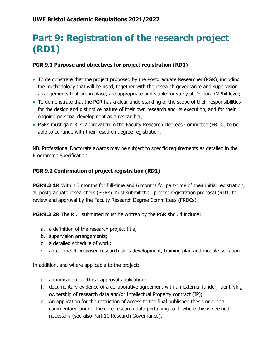# <span id="page-22-0"></span>**Part 9: Registration of the research project (RD1)**

#### **PGR 9.1 Purpose and objectives for project registration (RD1)**

- To demonstrate that the project proposed by the Postgraduate Researcher (PGR), including the methodology that will be used, together with the research governance and supervision arrangements that are in place, are appropriate and viable for study at Doctoral/MPhil level;
- To demonstrate that the PGR has a clear understanding of the scope of their responsibilities for the design and distinctive nature of their own research and its execution, and for their ongoing personal development as a researcher;
- PGRs must gain RD1 approval from the Faculty Research Degrees Committee (FRDC) to be able to continue with their research degree registration.

NB. Professional Doctorate awards may be subject to specific requirements as detailed in the Programme Specification.

#### **PGR 9.2 Confirmation of project registration (RD1)**

**PGR9.2.1R** Within 3 months for full-time and 6 months for part-time of their initial registration, all postgraduate researchers (PGRs) must submit their project registration proposal (RD1) for review and approval by the Faculty Research Degree Committees (FRDCs).

**PGR9.2.2R** The RD1 submitted must be written by the PGR should include:

- a. a definition of the research project title;
- b. supervision arrangements;
- c. a detailed schedule of work;
- d. an outline of proposed research skills development, training plan and module selection.

In addition, and where applicable to the project:

- e. an indication of ethical approval application;
- f. documentary evidence of a collaborative agreement with an external funder, identifying ownership of research data and/or Intellectual Property contract (IP);
- g. An application for the restriction of access to the final published thesis or critical commentary, and/or the core research data pertaining to it, where this is deemed necessary (see also Part 10 Research Governance).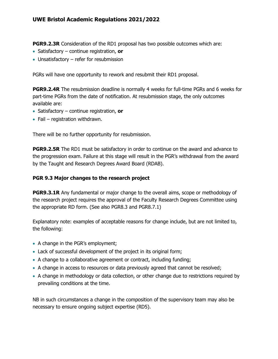**PGR9.2.3R** Consideration of the RD1 proposal has two possible outcomes which are:

- Satisfactory continue registration, **or**
- Unsatisfactory refer for resubmission

PGRs will have one opportunity to rework and resubmit their RD1 proposal.

**PGR9.2.4R** The resubmission deadline is normally 4 weeks for full-time PGRs and 6 weeks for part-time PGRs from the date of notification. At resubmission stage, the only outcomes available are:

- Satisfactory continue registration, **or**
- Fail registration withdrawn.

There will be no further opportunity for resubmission.

**PGR9.2.5R** The RD1 must be satisfactory in order to continue on the award and advance to the progression exam. Failure at this stage will result in the PGR's withdrawal from the award by the Taught and Research Degrees Award Board (RDAB).

#### **PGR 9.3 Major changes to the research project**

**PGR9.3.1R** Any fundamental or major change to the overall aims, scope or methodology of the research project requires the approval of the Faculty Research Degrees Committee using the appropriate RD form. (See also PGR8.3 and PGR8.7.1)

Explanatory note: examples of acceptable reasons for change include, but are not limited to, the following:

- A change in the PGR's employment;
- Lack of successful development of the project in its original form;
- A change to a collaborative agreement or contract, including funding;
- A change in access to resources or data previously agreed that cannot be resolved;
- A change in methodology or data collection, or other change due to restrictions required by prevailing conditions at the time.

NB in such circumstances a change in the composition of the supervisory team may also be necessary to ensure ongoing subject expertise (RD5).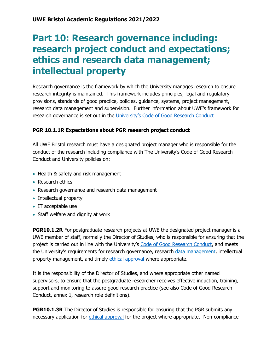### <span id="page-24-0"></span>**Part 10: Research governance including: research project conduct and expectations; ethics and research data management; intellectual property**

Research governance is the framework by which the University manages research to ensure research integrity is maintained. This framework includes principles, legal and regulatory provisions, standards of good practice, policies, guidance, systems, project management, research data management and supervision. Further information about UWE's framework for research governance is set out in the [University's Code of Good Research Conduct](http://www1.uwe.ac.uk/research/researchgovernance/codeofgoodresearchconduct.aspx)

#### **PGR 10.1.1R Expectations about PGR research project conduct**

All UWE Bristol research must have a designated project manager who is responsible for the conduct of the research including compliance with The University's Code of Good Research Conduct and University policies on:

- Health & safety and risk management
- Research ethics
- Research governance and research data management
- Intellectual property
- IT acceptable use
- Staff welfare and dignity at work

**PGR10.1.2R** For postgraduate research projects at UWE the designated project manager is a UWE member of staff, normally the Director of Studies, who is responsible for ensuring that the project is carried out in line with the University's [Code of Good Research Conduct,](http://www1.uwe.ac.uk/research/researchgovernance/codeofgoodresearchconduct.aspx) and meets the University's requirements for research governance, research [data management,](https://www1.uwe.ac.uk/research/researchgovernance/resourcesforresearchers/researchdatamanagement.aspx) intellectual property management, and timely [ethical approval](http://www1.uwe.ac.uk/research/researchethics.aspx) where appropriate.

It is the responsibility of the Director of Studies, and where appropriate other named supervisors, to ensure that the postgraduate researcher receives effective induction, training, support and monitoring to assure good research practice (see also Code of Good Research Conduct, annex 1, research role definitions).

**PGR10.1.3R** The Director of Studies is responsible for ensuring that the PGR submits any necessary application for [ethical approval](http://www1.uwe.ac.uk/research/researchethics.aspx) for the project where appropriate. Non-compliance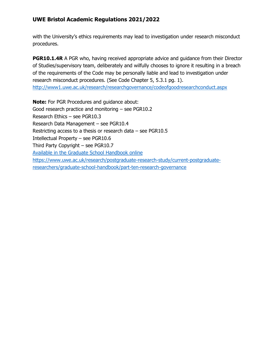with the University's ethics requirements may lead to investigation under research misconduct procedures.

**PGR10.1.4R** A PGR who, having received appropriate advice and quidance from their Director of Studies/supervisory team, deliberately and wilfully chooses to ignore it resulting in a breach of the requirements of the Code may be personally liable and lead to investigation under research misconduct procedures. (See Code Chapter 5, 5.3.1 pg. 1). <http://www1.uwe.ac.uk/research/researchgovernance/codeofgoodresearchconduct.aspx>

**Note:** For PGR Procedures and guidance about: Good research practice and monitoring – see PGR10.2 Research Ethics – see PGR10.3 Research Data Management – see PGR10.4 Restricting access to a thesis or research data – see PGR10.5 Intellectual Property – see PGR10.6 Third Party Copyright – see PGR10.7 [Available in the Graduate School Handbook online](https://www.uwe.ac.uk/research/postgraduate-research-study/current-postgraduate-researchers/graduate-school-handbook/part-ten-research-governance) [https://www.uwe.ac.uk/research/postgraduate-research-study/current-postgraduate](https://www.uwe.ac.uk/research/postgraduate-research-study/current-postgraduate-researchers/graduate-school-handbook/part-ten-research-governance)[researchers/graduate-school-handbook/part-ten-research-governance](https://www.uwe.ac.uk/research/postgraduate-research-study/current-postgraduate-researchers/graduate-school-handbook/part-ten-research-governance)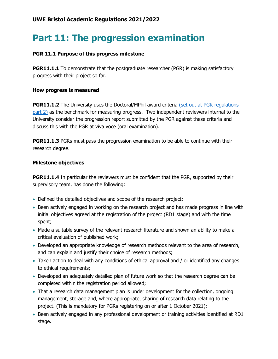# <span id="page-26-0"></span>**Part 11: The progression examination**

#### **PGR 11.1 Purpose of this progress milestone**

**PGR11.1.1** To demonstrate that the postgraduate researcher (PGR) is making satisfactory progress with their project so far.

#### **How progress is measured**

**PGR11.1.2** The University uses the Doctoral/MPhil award criteria (set out at PGR regulations [part 2\)](https://www1.uwe.ac.uk/research/postgraduateresearchstudy/currentpgresearchers/graduateschoolhandbook/part2-pgrdescriptors.aspx) as the benchmark for measuring progress. Two independent reviewers internal to the University consider the progression report submitted by the PGR against these criteria and discuss this with the PGR at viva voce (oral examination).

**PGR11.1.3** PGRs must pass the progression examination to be able to continue with their research degree.

#### **Milestone objectives**

**PGR11.1.4** In particular the reviewers must be confident that the PGR, supported by their supervisory team, has done the following:

- Defined the detailed objectives and scope of the research project;
- Been actively engaged in working on the research project and has made progress in line with initial objectives agreed at the registration of the project (RD1 stage) and with the time spent;
- Made a suitable survey of the relevant research literature and shown an ability to make a critical evaluation of published work;
- Developed an appropriate knowledge of research methods relevant to the area of research, and can explain and justify their choice of research methods;
- Taken action to deal with any conditions of ethical approval and / or identified any changes to ethical requirements;
- Developed an adequately detailed plan of future work so that the research degree can be completed within the registration period allowed;
- That a research data management plan is under development for the collection, ongoing management, storage and, where appropriate, sharing of research data relating to the project. (This is mandatory for PGRs registering on or after 1 October 2021);
- Been actively engaged in any professional development or training activities identified at RD1 stage.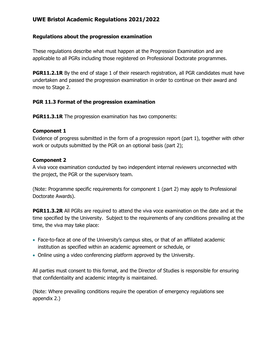#### **Regulations about the progression examination**

These regulations describe what must happen at the Progression Examination and are applicable to all PGRs including those registered on Professional Doctorate programmes.

**PGR11.2.1R** By the end of stage 1 of their research registration, all PGR candidates must have undertaken and passed the progression examination in order to continue on their award and move to Stage 2.

#### **PGR 11.3 Format of the progression examination**

**PGR11.3.1R** The progression examination has two components:

#### **Component 1**

Evidence of progress submitted in the form of a progression report (part 1), together with other work or outputs submitted by the PGR on an optional basis (part 2);

#### **Component 2**

A viva voce examination conducted by two independent internal reviewers unconnected with the project, the PGR or the supervisory team.

(Note: Programme specific requirements for component 1 (part 2) may apply to Professional Doctorate Awards).

**PGR11.3.2R** All PGRs are required to attend the viva voce examination on the date and at the time specified by the University. Subject to the requirements of any conditions prevailing at the time, the viva may take place:

- Face-to-face at one of the University's campus sites, or that of an affiliated academic institution as specified within an academic agreement or schedule, or
- Online using a video conferencing platform approved by the University.

All parties must consent to this format, and the Director of Studies is responsible for ensuring that confidentiality and academic integrity is maintained.

(Note: Where prevailing conditions require the operation of emergency regulations see appendix 2.)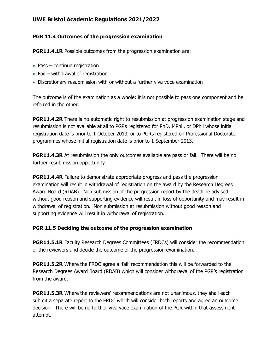#### **PGR 11.4 Outcomes of the progression examination**

**PGR11.4.1R** Possible outcomes from the progression examination are:

- Pass continue registration
- Fail withdrawal of registration
- Discretionary resubmission with or without a further viva voce examination

The outcome is of the examination as a whole; it is not possible to pass one component and be referred in the other.

**PGR11.4.2R** There is no automatic right to resubmission at progression examination stage and resubmission is not available at all to PGRs registered for PhD, MPhil, or DPhil whose initial registration date is prior to 1 October 2013, or to PGRs registered on Professional Doctorate programmes whose initial registration date is prior to 1 September 2013.

**PGR11.4.3R** At resubmission the only outcomes available are pass or fail. There will be no further resubmission opportunity.

**PGR11.4.4R** Failure to demonstrate appropriate progress and pass the progression examination will result in withdrawal of registration on the award by the Research Degrees Award Board (RDAB). Non submission of the progression report by the deadline advised without good reason and supporting evidence will result in loss of opportunity and may result in withdrawal of registration. Non submission at resubmission without good reason and supporting evidence will result in withdrawal of registration.

#### **PGR 11.5 Deciding the outcome of the progression examination**

**PGR11.5.1R** Faculty Research Degrees Committees (FRDCs) will consider the recommendation of the reviewers and decide the outcome of the progression examination.

**PGR11.5.2R** Where the FRDC agree a 'fail' recommendation this will be forwarded to the Research Degrees Award Board (RDAB) which will consider withdrawal of the PGR's registration from the award.

**PGR11.5.3R** Where the reviewers' recommendations are not unanimous, they shall each submit a separate report to the FRDC which will consider both reports and agree an outcome decision. There will be no further viva voce examination of the PGR within that assessment attempt.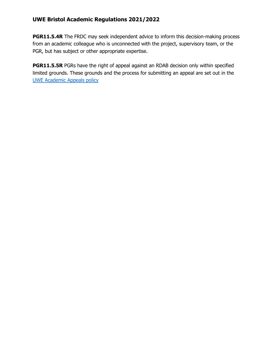**PGR11.5.4R** The FRDC may seek independent advice to inform this decision-making process from an academic colleague who is unconnected with the project, supervisory team, or the PGR, but has subject or other appropriate expertise.

**PGR11.5.5R** PGRs have the right of appeal against an RDAB decision only within specified limited grounds. These grounds and the process for submitting an appeal are set out in the [UWE Academic Appeals policy](https://www2.uwe.ac.uk/services/Marketing/about-us/pdf/Policies/Academic-Appeals-Policy.pdf)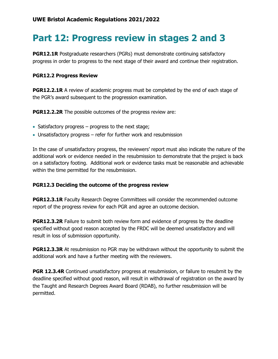# <span id="page-30-0"></span>**Part 12: Progress review in stages 2 and 3**

**PGR12.1R** Postgraduate researchers (PGRs) must demonstrate continuing satisfactory progress in order to progress to the next stage of their award and continue their registration.

#### **PGR12.2 Progress Review**

**PGR12.2.1R** A review of academic progress must be completed by the end of each stage of the PGR's award subsequent to the progression examination.

**PGR12.2.2R** The possible outcomes of the progress review are:

- Satisfactory progress progress to the next stage;
- Unsatisfactory progress refer for further work and resubmission

In the case of unsatisfactory progress, the reviewers' report must also indicate the nature of the additional work or evidence needed in the resubmission to demonstrate that the project is back on a satisfactory footing. Additional work or evidence tasks must be reasonable and achievable within the time permitted for the resubmission.

#### **PGR12.3 Deciding the outcome of the progress review**

**PGR12.3.1R** Faculty Research Degree Committees will consider the recommended outcome report of the progress review for each PGR and agree an outcome decision.

**PGR12.3.2R** Failure to submit both review form and evidence of progress by the deadline specified without good reason accepted by the FRDC will be deemed unsatisfactory and will result in loss of submission opportunity.

**PGR12.3.3R** At resubmission no PGR may be withdrawn without the opportunity to submit the additional work and have a further meeting with the reviewers.

**PGR 12.3.4R** Continued unsatisfactory progress at resubmission, or failure to resubmit by the deadline specified without good reason, will result in withdrawal of registration on the award by the Taught and Research Degrees Award Board (RDAB), no further resubmission will be permitted.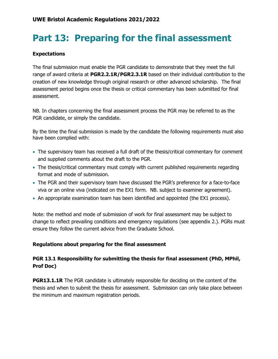# <span id="page-31-0"></span>**Part 13: Preparing for the final assessment**

#### **Expectations**

The final submission must enable the PGR candidate to demonstrate that they meet the full range of award criteria at **PGR2.2.1R/PGR2.3.1R** based on their individual contribution to the creation of new knowledge through original research or other advanced scholarship. The final assessment period begins once the thesis or critical commentary has been submitted for final assessment.

NB. In chapters concerning the final assessment process the PGR may be referred to as the PGR candidate, or simply the candidate.

By the time the final submission is made by the candidate the following requirements must also have been complied with:

- The supervisory team has received a full draft of the thesis/critical commentary for comment and supplied comments about the draft to the PGR.
- The thesis/critical commentary must comply with current published requirements regarding format and mode of submission.
- The PGR and their supervisory team have discussed the PGR's preference for a face-to-face viva or an online viva (indicated on the EX1 form. NB. subject to examiner agreement).
- An appropriate examination team has been identified and appointed (the EX1 process).

Note: the method and mode of submission of work for final assessment may be subject to change to reflect prevailing conditions and emergency regulations (see appendix 2.). PGRs must ensure they follow the current advice from the Graduate School.

#### **Regulations about preparing for the final assessment**

#### **PGR 13.1 Responsibility for submitting the thesis for final assessment (PhD, MPhil, Prof Doc)**

**PGR13.1.1R** The PGR candidate is ultimately responsible for deciding on the content of the thesis and when to submit the thesis for assessment. Submission can only take place between the minimum and maximum registration periods.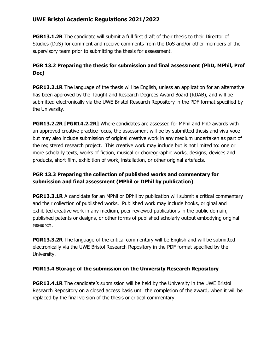**PGR13.1.2R** The candidate will submit a full first draft of their thesis to their Director of Studies (DoS) for comment and receive comments from the DoS and/or other members of the supervisory team prior to submitting the thesis for assessment.

#### **PGR 13.2 Preparing the thesis for submission and final assessment (PhD, MPhil, Prof Doc)**

**PGR13.2.1R** The language of the thesis will be English, unless an application for an alternative has been approved by the Taught and Research Degrees Award Board (RDAB), and will be submitted electronically via the UWE Bristol Research Repository in the PDF format specified by the University.

**PGR13.2.2R [PGR14.2.2R]** Where candidates are assessed for MPhil and PhD awards with an approved creative practice focus, the assessment will be by submitted thesis and viva voce but may also include submission of original creative work in any medium undertaken as part of the registered research project. This creative work may include but is not limited to: one or more scholarly texts, works of fiction, musical or choreographic works, designs, devices and products, short film, exhibition of work, installation, or other original artefacts.

#### **PGR 13.3 Preparing the collection of published works and commentary for submission and final assessment (MPhil or DPhil by publication)**

**PGR13.3.1R** A candidate for an MPhil or DPhil by publication will submit a critical commentary and their collection of published works. Published work may include books, original and exhibited creative work in any medium, peer reviewed publications in the public domain, published patents or designs, or other forms of published scholarly output embodying original research.

**PGR13.3.2R** The language of the critical commentary will be English and will be submitted electronically via the UWE Bristol Research Repository in the PDF format specified by the University.

#### **PGR13.4 Storage of the submission on the University Research Repository**

**PGR13.4.1R** The candidate's submission will be held by the University in the UWE Bristol Research Repository on a closed access basis until the completion of the award, when it will be replaced by the final version of the thesis or critical commentary.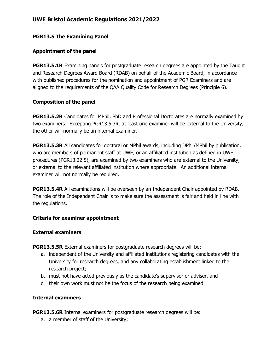#### **PGR13.5 The Examining Panel**

#### **Appointment of the panel**

**PGR13.5.1R** Examining panels for postgraduate research degrees are appointed by the Taught and Research Degrees Award Board (RDAB) on behalf of the Academic Board, in accordance with published procedures for the nomination and appointment of PGR Examiners and are aligned to the requirements of the QAA Quality Code for Research Degrees (Principle 6).

#### **Composition of the panel**

**PGR13.5.2R** Candidates for MPhil, PhD and Professional Doctorates are normally examined by two examiners. Excepting PGR13.5.3R, at least one examiner will be external to the University, the other will normally be an internal examiner.

**PGR13.5.3R** All candidates for doctoral or MPhil awards, including DPhil/MPhil by publication, who are members of permanent staff at UWE, or an affiliated institution as defined in UWE procedures (PGR13.22.5), are examined by two examiners who are external to the University, or external to the relevant affiliated institution where appropriate. An additional internal examiner will not normally be required.

**PGR13.5.4R** All examinations will be overseen by an Independent Chair appointed by RDAB. The role of the Independent Chair is to make sure the assessment is fair and held in line with the regulations.

#### **Criteria for examiner appointment**

#### **External examiners**

**PGR13.5.5R** External examiners for postgraduate research degrees will be:

- a. independent of the University and affiliated institutions registering candidates with the University for research degrees, and any collaborating establishment linked to the research project;
- b. must not have acted previously as the candidate's supervisor or adviser, and
- c. their own work must not be the focus of the research being examined.

#### **Internal examiners**

**PGR13.5.6R** Internal examiners for postgraduate research degrees will be:

a. a member of staff of the University;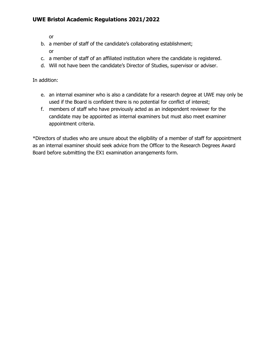or

- b. a member of staff of the candidate's collaborating establishment;
	- or
- c. a member of staff of an affiliated institution where the candidate is registered.
- d. Will not have been the candidate's Director of Studies, supervisor or adviser.

In addition:

- e. an internal examiner who is also a candidate for a research degree at UWE may only be used if the Board is confident there is no potential for conflict of interest;
- f. members of staff who have previously acted as an independent reviewer for the candidate may be appointed as internal examiners but must also meet examiner appointment criteria.

\*Directors of studies who are unsure about the eligibility of a member of staff for appointment as an internal examiner should seek advice from the Officer to the Research Degrees Award Board before submitting the EX1 examination arrangements form.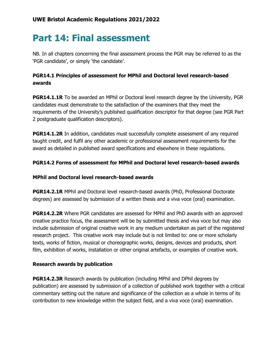## <span id="page-35-0"></span>**Part 14: Final assessment**

NB. In all chapters concerning the final assessment process the PGR may be referred to as the 'PGR candidate', or simply 'the candidate'.

#### **PGR14.1 Principles of assessment for MPhil and Doctoral level research-based awards**

**PGR14.1.1R** To be awarded an MPhil or Doctoral level research degree by the University, PGR candidates must demonstrate to the satisfaction of the examiners that they meet the requirements of the University's published qualification descriptor for that degree (see PGR Part 2 postgraduate qualification descriptors).

**PGR14.1.2R** In addition, candidates must successfully complete assessment of any required taught credit, and fulfil any other academic or professional assessment requirements for the award as detailed in published award specifications and elsewhere in these regulations.

#### **PGR14.2 Forms of assessment for MPhil and Doctoral level research-based awards**

#### **MPhil and Doctoral level research-based awards**

**PGR14.2.1R** MPhil and Doctoral level research-based awards (PhD, Professional Doctorate degrees) are assessed by submission of a written thesis and a viva voce (oral) examination.

**PGR14.2.2R** Where PGR candidates are assessed for MPhil and PhD awards with an approved creative practice focus, the assessment will be by submitted thesis and viva voce but may also include submission of original creative work in any medium undertaken as part of the registered research project. This creative work may include but is not limited to: one or more scholarly texts, works of fiction, musical or choreographic works, designs, devices and products, short film, exhibition of works, installation or other original artefacts, or examples of creative work.

#### **Research awards by publication**

**PGR14.2.3R** Research awards by publication (including MPhil and DPhil degrees by publication) are assessed by submission of a collection of published work together with a critical commentary setting out the nature and significance of the collection as a whole in terms of its contribution to new knowledge within the subject field, and a viva voce (oral) examination.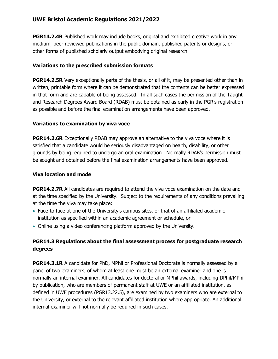**PGR14.2.4R** Published work may include books, original and exhibited creative work in any medium, peer reviewed publications in the public domain, published patents or designs, or other forms of published scholarly output embodying original research.

#### **Variations to the prescribed submission formats**

**PGR14.2.5R** Very exceptionally parts of the thesis, or all of it, may be presented other than in written, printable form where it can be demonstrated that the contents can be better expressed in that form and are capable of being assessed. In all such cases the permission of the Taught and Research Degrees Award Board (RDAB) must be obtained as early in the PGR's registration as possible and before the final examination arrangements have been approved.

#### **Variations to examination by viva voce**

**PGR14.2.6R** Exceptionally RDAB may approve an alternative to the viva voce where it is satisfied that a candidate would be seriously disadvantaged on health, disability, or other grounds by being required to undergo an oral examination. Normally RDAB's permission must be sought and obtained before the final examination arrangements have been approved.

#### **Viva location and mode**

**PGR14.2.7R** All candidates are required to attend the viva voce examination on the date and at the time specified by the University. Subject to the requirements of any conditions prevailing at the time the viva may take place:

- Face-to-face at one of the University's campus sites, or that of an affiliated academic institution as specified within an academic agreement or schedule, or
- Online using a video conferencing platform approved by the University.

#### **PGR14.3 Regulations about the final assessment process for postgraduate research degrees**

**PGR14.3.1R** A candidate for PhD, MPhil or Professional Doctorate is normally assessed by a panel of two examiners, of whom at least one must be an external examiner and one is normally an internal examiner. All candidates for doctoral or MPhil awards, including DPhil/MPhil by publication, who are members of permanent staff at UWE or an affiliated institution, as defined in UWE procedures (PGR13.22.5), are examined by two examiners who are external to the University, or external to the relevant affiliated institution where appropriate. An additional internal examiner will not normally be required in such cases.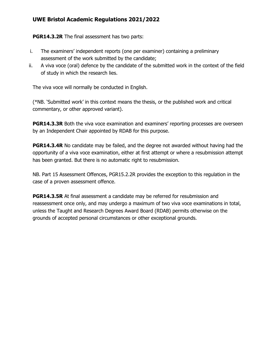**PGR14.3.2R** The final assessment has two parts:

- i. The examiners' independent reports (one per examiner) containing a preliminary assessment of the work submitted by the candidate;
- ii. A viva voce (oral) defence by the candidate of the submitted work in the context of the field of study in which the research lies.

The viva voce will normally be conducted in English.

(\*NB. 'Submitted work' in this context means the thesis, or the published work and critical commentary, or other approved variant).

**PGR14.3.3R** Both the viva voce examination and examiners' reporting processes are overseen by an Independent Chair appointed by RDAB for this purpose.

**PGR14.3.4R** No candidate may be failed, and the degree not awarded without having had the opportunity of a viva voce examination, either at first attempt or where a resubmission attempt has been granted. But there is no automatic right to resubmission.

NB. Part 15 Assessment Offences, PGR15.2.2R provides the exception to this regulation in the case of a proven assessment offence.

**PGR14.3.5R** At final assessment a candidate may be referred for resubmission and reassessment once only, and may undergo a maximum of two viva voce examinations in total, unless the Taught and Research Degrees Award Board (RDAB) permits otherwise on the grounds of accepted personal circumstances or other exceptional grounds.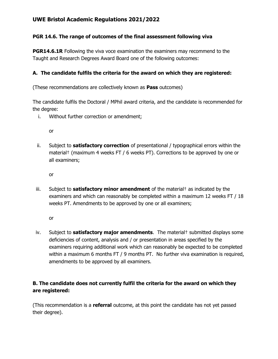#### **PGR 14.6. The range of outcomes of the final assessment following viva**

**PGR14.6.1R** Following the viva voce examination the examiners may recommend to the Taught and Research Degrees Award Board one of the following outcomes:

#### **A. The candidate fulfils the criteria for the award on which they are registered:**

(These recommendations are collectively known as **Pass** outcomes)

The candidate fulfils the Doctoral / MPhil award criteria, and the candidate is recommended for the degree:

i. Without further correction or amendment;

or

ii. Subject to **satisfactory correction** of presentational / typographical errors within the material† (maximum 4 weeks FT / 6 weeks PT). Corrections to be approved by one or all examiners;

or

iii. Subject to **satisfactory minor amendment** of the material† as indicated by the examiners and which can reasonably be completed within a maximum 12 weeks FT / 18 weeks PT. Amendments to be approved by one or all examiners;

or

iv. Subject to **satisfactory major amendments**. The material† submitted displays some deficiencies of content, analysis and / or presentation in areas specified by the examiners requiring additional work which can reasonably be expected to be completed within a maximum 6 months FT / 9 months PT. No further viva examination is required, amendments to be approved by all examiners.

#### **B. The candidate does not currently fulfil the criteria for the award on which they are registered:**

(This recommendation is a **referral** outcome, at this point the candidate has not yet passed their degree).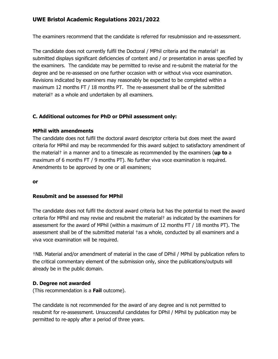The examiners recommend that the candidate is referred for resubmission and re-assessment.

The candidate does not currently fulfil the Doctoral / MPhil criteria and the material† as submitted displays significant deficiencies of content and / or presentation in areas specified by the examiners. The candidate may be permitted to revise and re-submit the material for the degree and be re-assessed on one further occasion with or without viva voce examination. Revisions indicated by examiners may reasonably be expected to be completed within a maximum 12 months FT / 18 months PT. The re-assessment shall be of the submitted material† as a whole and undertaken by all examiners.

#### **C. Additional outcomes for PhD or DPhil assessment only:**

#### **MPhil with amendments**

The candidate does not fulfil the doctoral award descriptor criteria but does meet the award criteria for MPhil and may be recommended for this award subject to satisfactory amendment of the material† in a manner and to a timescale as recommended by the examiners (**up to** a maximum of 6 months FT / 9 months PT). No further viva voce examination is required. Amendments to be approved by one or all examiners;

**or**

#### **Resubmit and be assessed for MPhil**

The candidate does not fulfil the doctoral award criteria but has the potential to meet the award criteria for MPhil and may revise and resubmit the material† as indicated by the examiners for assessment for the award of MPhil (within a maximum of 12 months FT / 18 months PT). The assessment shall be of the submitted material †as a whole, conducted by all examiners and a viva voce examination will be required.

†NB. Material and/or amendment of material in the case of DPhil / MPhil by publication refers to the critical commentary element of the submission only, since the publications/outputs will already be in the public domain.

#### **D. Degree not awarded**

(This recommendation is a **Fail** outcome).

The candidate is not recommended for the award of any degree and is not permitted to resubmit for re-assessment. Unsuccessful candidates for DPhil / MPhil by publication may be permitted to re-apply after a period of three years.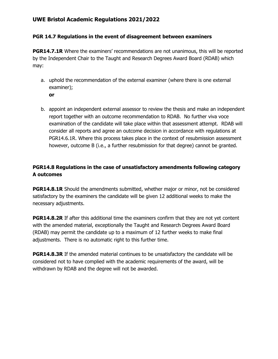#### **PGR 14.7 Regulations in the event of disagreement between examiners**

**PGR14.7.1R** Where the examiners' recommendations are not unanimous, this will be reported by the Independent Chair to the Taught and Research Degrees Award Board (RDAB) which may:

- a. uphold the recommendation of the external examiner (where there is one external examiner);
	- **or**
- b. appoint an independent external assessor to review the thesis and make an independent report together with an outcome recommendation to RDAB. No further viva voce examination of the candidate will take place within that assessment attempt. RDAB will consider all reports and agree an outcome decision in accordance with regulations at PGR14.6.1R. Where this process takes place in the context of resubmission assessment however, outcome B (i.e., a further resubmission for that degree) cannot be granted.

#### **PGR14.8 Regulations in the case of unsatisfactory amendments following category A outcomes**

**PGR14.8.1R** Should the amendments submitted, whether major or minor, not be considered satisfactory by the examiners the candidate will be given 12 additional weeks to make the necessary adjustments.

**PGR14.8.2R** If after this additional time the examiners confirm that they are not yet content with the amended material, exceptionally the Taught and Research Degrees Award Board (RDAB) may permit the candidate up to a maximum of 12 further weeks to make final adjustments. There is no automatic right to this further time.

**PGR14.8.3R** If the amended material continues to be unsatisfactory the candidate will be considered not to have complied with the academic requirements of the award, will be withdrawn by RDAB and the degree will not be awarded.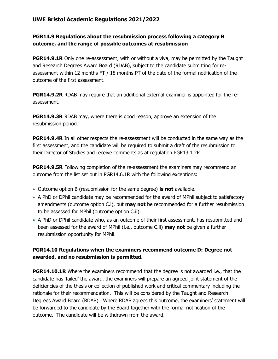#### **PGR14.9 Regulations about the resubmission process following a category B outcome, and the range of possible outcomes at resubmission**

**PGR14.9.1R** Only one re-assessment, with or without a viva, may be permitted by the Taught and Research Degrees Award Board (RDAB), subject to the candidate submitting for reassessment within 12 months FT / 18 months PT of the date of the formal notification of the outcome of the first assessment.

**PGR14.9.2R** RDAB may require that an additional external examiner is appointed for the reassessment.

**PGR14.9.3R** RDAB may, where there is good reason, approve an extension of the resubmission period.

**PGR14.9.4R** In all other respects the re-assessment will be conducted in the same way as the first assessment, and the candidate will be required to submit a draft of the resubmission to their Director of Studies and receive comments as at regulation PGR13.1.2R.

**PGR14.9.5R** Following completion of the re-assessment the examiners may recommend an outcome from the list set out in PGR14.6.1R with the following exceptions:

- Outcome option B (resubmission for the same degree) **is not** available.
- A PhD or DPhil candidate may be recommended for the award of MPhil subject to satisfactory amendments (outcome option C.i), but **may not** be recommended for a further resubmission to be assessed for MPhil (outcome option C.ii).
- A PhD or DPhil candidate who, as an outcome of their first assessment, has resubmitted and been assessed for the award of MPhil (i.e., outcome C.ii) **may not** be given a further resubmission opportunity for MPhil.

#### **PGR14.10 Regulations when the examiners recommend outcome D: Degree not awarded, and no resubmission is permitted.**

**PGR14.10.1R** Where the examiners recommend that the degree is not awarded i.e., that the candidate has 'failed' the award, the examiners will prepare an agreed joint statement of the deficiencies of the thesis or collection of published work and critical commentary including the rationale for their recommendation. This will be considered by the Taught and Research Degrees Award Board (RDAB). Where RDAB agrees this outcome, the examiners' statement will be forwarded to the candidate by the Board together with the formal notification of the outcome. The candidate will be withdrawn from the award.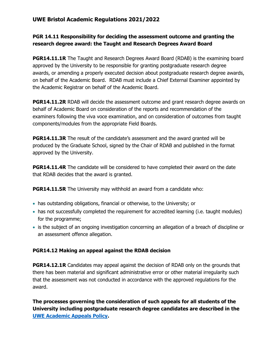#### **PGR 14.11 Responsibility for deciding the assessment outcome and granting the research degree award: the Taught and Research Degrees Award Board**

**PGR14.11.1R** The Taught and Research Degrees Award Board (RDAB) is the examining board approved by the University to be responsible for granting postgraduate research degree awards, or amending a properly executed decision about postgraduate research degree awards, on behalf of the Academic Board. RDAB must include a Chief External Examiner appointed by the Academic Registrar on behalf of the Academic Board.

**PGR14.11.2R** RDAB will decide the assessment outcome and grant research degree awards on behalf of Academic Board on consideration of the reports and recommendation of the examiners following the viva voce examination, and on consideration of outcomes from taught components/modules from the appropriate Field Boards.

**PGR14.11.3R** The result of the candidate's assessment and the award granted will be produced by the Graduate School, signed by the Chair of RDAB and published in the format approved by the University.

**PGR14.11.4R** The candidate will be considered to have completed their award on the date that RDAB decides that the award is granted.

**PGR14.11.5R** The University may withhold an award from a candidate who:

- has outstanding obligations, financial or otherwise, to the University; or
- has not successfully completed the requirement for accredited learning (i.e. taught modules) for the programme;
- is the subject of an ongoing investigation concerning an allegation of a breach of discipline or an assessment offence allegation.

#### **PGR14.12 Making an appeal against the RDAB decision**

**PGR14.12.1R** Candidates may appeal against the decision of RDAB only on the grounds that there has been material and significant administrative error or other material irregularity such that the assessment was not conducted in accordance with the approved regulations for the award.

**The processes governing the consideration of such appeals for all students of the University including postgraduate research degree candidates are described in the [UWE Academic Appeals Policy.](https://www2.uwe.ac.uk/services/Marketing/about-us/pdf/Policies/Academic-Appeals-Policy.pdf)**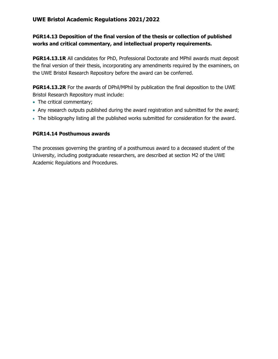#### **PGR14.13 Deposition of the final version of the thesis or collection of published works and critical commentary, and intellectual property requirements.**

**PGR14.13.1R** All candidates for PhD, Professional Doctorate and MPhil awards must deposit the final version of their thesis, incorporating any amendments required by the examiners, on the UWE Bristol Research Repository before the award can be conferred.

**PGR14.13.2R** For the awards of DPhil/MPhil by publication the final deposition to the UWE Bristol Research Repository must include:

- The critical commentary;
- Any research outputs published during the award registration and submitted for the award;
- The bibliography listing all the published works submitted for consideration for the award.

#### **PGR14.14 Posthumous awards**

The processes governing the granting of a posthumous award to a deceased student of the University, including postgraduate researchers, are described at section M2 of the UWE Academic Regulations and Procedures.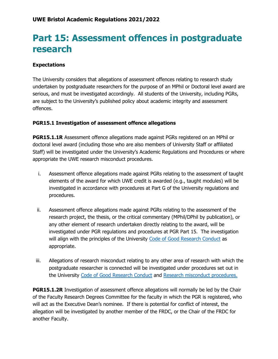# <span id="page-44-0"></span>**Part 15: Assessment offences in postgraduate research**

#### **Expectations**

The University considers that allegations of assessment offences relating to research study undertaken by postgraduate researchers for the purpose of an MPhil or Doctoral level award are serious, and must be investigated accordingly. All students of the University, including PGRs, are subject to the University's published policy about academic integrity and assessment offences.

#### **PGR15.1 Investigation of assessment offence allegations**

**PGR15.1.1R** Assessment offence allegations made against PGRs registered on an MPhil or doctoral level award (including those who are also members of University Staff or affiliated Staff) will be investigated under the University's Academic Regulations and Procedures or where appropriate the UWE research misconduct procedures.

- i. Assessment offence allegations made against PGRs relating to the assessment of taught elements of the award for which UWE credit is awarded (e.g., taught modules) will be investigated in accordance with procedures at Part G of the University regulations and procedures.
- ii. Assessment offence allegations made against PGRs relating to the assessment of the research project, the thesis, or the critical commentary (MPhil/DPhil by publication), or any other element of research undertaken directly relating to the award, will be investigated under PGR regulations and procedures at PGR Part 15. The investigation will align with the principles of the University [Code of Good Research Conduct](http://www1.uwe.ac.uk/research/researchgovernance/codeofgoodresearchconduct.aspx) as appropriate.
- iii. Allegations of research misconduct relating to any other area of research with which the postgraduate researcher is connected will be investigated under procedures set out in the University [Code of Good Research Conduct](http://www1.uwe.ac.uk/research/researchgovernance/codeofgoodresearchconduct.aspx) and [Research misconduct procedures.](http://www1.uwe.ac.uk/research/researchgovernance.aspx)

**PGR15.1.2R** Investigation of assessment offence allegations will normally be led by the Chair of the Faculty Research Degrees Committee for the faculty in which the PGR is registered, who will act as the Executive Dean's nominee. If there is potential for conflict of interest, the allegation will be investigated by another member of the FRDC, or the Chair of the FRDC for another Faculty.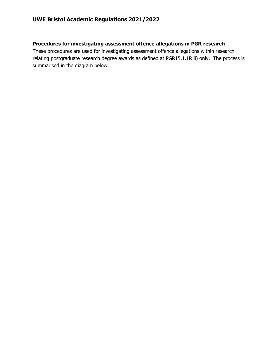#### **Procedures for investigating assessment offence allegations in PGR research**

These procedures are used for investigating assessment offence allegations within research relating postgraduate research degree awards as defined at PGR15.1.1R ii) only. The process is summarised in the diagram below.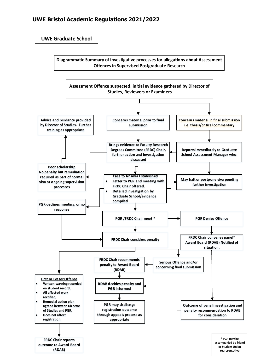**UWE Graduate School**

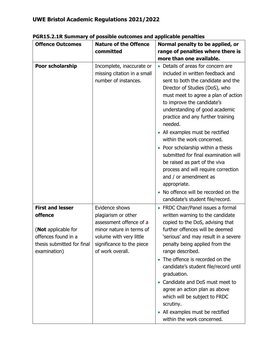| <b>Offence Outcomes</b>                                                                             | <b>Nature of the Offence</b>                                                                                                                           | Normal penalty to be applied, or                                                                                                                                                                                                                                                                      |
|-----------------------------------------------------------------------------------------------------|--------------------------------------------------------------------------------------------------------------------------------------------------------|-------------------------------------------------------------------------------------------------------------------------------------------------------------------------------------------------------------------------------------------------------------------------------------------------------|
|                                                                                                     | committed                                                                                                                                              | range of penalties where there is                                                                                                                                                                                                                                                                     |
|                                                                                                     |                                                                                                                                                        | more than one available.                                                                                                                                                                                                                                                                              |
| Poor scholarship                                                                                    | Incomplete, inaccurate or<br>missing citation in a small<br>number of instances.                                                                       | • Details of areas for concern are<br>included in written feedback and<br>sent to both the candidate and the<br>Director of Studies (DoS), who<br>must meet to agree a plan of action<br>to improve the candidate's<br>understanding of good academic<br>practice and any further training<br>needed. |
|                                                                                                     |                                                                                                                                                        | • All examples must be rectified<br>within the work concerned.                                                                                                                                                                                                                                        |
|                                                                                                     |                                                                                                                                                        | Poor scholarship within a thesis<br>submitted for final examination will<br>be raised as part of the viva<br>process and will require correction<br>and / or amendment as<br>appropriate.                                                                                                             |
|                                                                                                     |                                                                                                                                                        | • No offence will be recorded on the<br>candidate's student file/record.                                                                                                                                                                                                                              |
| <b>First and lesser</b>                                                                             | Evidence shows                                                                                                                                         | • FRDC Chair/Panel issues a formal                                                                                                                                                                                                                                                                    |
| offence<br>(Not applicable for<br>offences found in a<br>thesis submitted for final<br>examination) | plagiarism or other<br>assessment offence of a<br>minor nature in terms of<br>volume with very little<br>significance to the piece<br>of work overall. | written warning to the candidate<br>copied to the DoS, advising that<br>further offences will be deemed<br>'serious' and may result in a severe<br>penalty being applied from the<br>range described.                                                                                                 |
|                                                                                                     |                                                                                                                                                        | • The offence is recorded on the<br>candidate's student file/record until<br>graduation.<br>Candidate and DoS must meet to<br>agree an action plan as above<br>which will be subject to FRDC<br>scrutiny.                                                                                             |
|                                                                                                     |                                                                                                                                                        | • All examples must be rectified<br>within the work concerned.                                                                                                                                                                                                                                        |

**PGR15.2.1R Summary of possible outcomes and applicable penalties**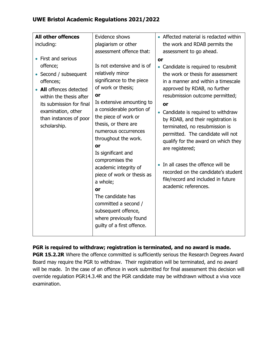| <b>All other offences</b><br>including:<br>First and serious<br>offence;<br>Second / subsequent<br>offences;<br><b>All</b> offences detected<br>within the thesis after<br>its submission for final<br>examination, other<br>than instances of poor<br>scholarship. | Evidence shows<br>plagiarism or other<br>assessment offence that:<br>Is not extensive and is of<br>relatively minor<br>significance to the piece<br>of work or thesis;<br>or<br>a considerable portion of<br>the piece of work or<br>thesis, or there are<br>numerous occurrences<br>throughout the work. | • Affected material is redacted within<br>the work and RDAB permits the<br>assessment to go ahead.<br>or<br>• Candidate is required to resubmit<br>the work or thesis for assessment<br>in a manner and within a timescale<br>approved by RDAB, no further<br>resubmission outcome permitted;<br>or<br>Candidate is required to withdraw<br>by RDAB, and their registration is<br>terminated, no resubmission is<br>permitted. The candidate will not<br>qualify for the award on which they |
|---------------------------------------------------------------------------------------------------------------------------------------------------------------------------------------------------------------------------------------------------------------------|-----------------------------------------------------------------------------------------------------------------------------------------------------------------------------------------------------------------------------------------------------------------------------------------------------------|----------------------------------------------------------------------------------------------------------------------------------------------------------------------------------------------------------------------------------------------------------------------------------------------------------------------------------------------------------------------------------------------------------------------------------------------------------------------------------------------|
|                                                                                                                                                                                                                                                                     | Is extensive amounting to<br>or<br>Is significant and<br>compromises the<br>academic integrity of<br>piece of work or thesis as<br>a whole;<br>or<br>The candidate has<br>committed a second /<br>subsequent offence,<br>where previously found<br>guilty of a first offence.                             | are registered;<br>In all cases the offence will be<br>$\bullet$<br>recorded on the candidate's student<br>file/record and included in future<br>academic references.                                                                                                                                                                                                                                                                                                                        |

**PGR is required to withdraw; registration is terminated, and no award is made.**

**PGR 15.2.2R** Where the offence committed is sufficiently serious the Research Degrees Award Board may require the PGR to withdraw. Their registration will be terminated, and no award will be made. In the case of an offence in work submitted for final assessment this decision will override regulation PGR14.3.4R and the PGR candidate may be withdrawn without a viva voce examination.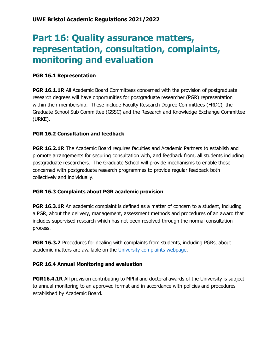### <span id="page-49-0"></span>**Part 16: Quality assurance matters, representation, consultation, complaints, monitoring and evaluation**

#### **PGR 16.1 Representation**

**PGR 16.1.1R** All Academic Board Committees concerned with the provision of postgraduate research degrees will have opportunities for postgraduate researcher (PGR) representation within their membership. These include Faculty Research Degree Committees (FRDC), the Graduate School Sub Committee (GSSC) and the Research and Knowledge Exchange Committee (URKE).

#### **PGR 16.2 Consultation and feedback**

**PGR 16.2.1R** The Academic Board requires faculties and Academic Partners to establish and promote arrangements for securing consultation with, and feedback from, all students including postgraduate researchers. The Graduate School will provide mechanisms to enable those concerned with postgraduate research programmes to provide regular feedback both collectively and individually.

#### **PGR 16.3 Complaints about PGR academic provision**

**PGR 16.3.1R** An academic complaint is defined as a matter of concern to a student, including a PGR, about the delivery, management, assessment methods and procedures of an award that includes supervised research which has not been resolved through the normal consultation process.

**PGR 16.3.2** Procedures for dealing with complaints from students, including PGRs, about academic matters are available on the [University complaints webpage.](http://www1.uwe.ac.uk/about/contactus/complaints.aspx)

#### **PGR 16.4 Annual Monitoring and evaluation**

**PGR16.4.1R** All provision contributing to MPhil and doctoral awards of the University is subject to annual monitoring to an approved format and in accordance with policies and procedures established by Academic Board.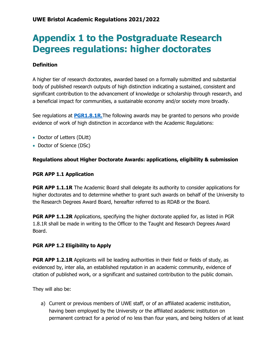### <span id="page-50-0"></span>**Appendix 1 to the Postgraduate Research Degrees regulations: higher doctorates**

#### **Definition**

A higher tier of research doctorates, awarded based on a formally submitted and substantial body of published research outputs of high distinction indicating a sustained, consistent and significant contribution to the advancement of knowledge or scholarship through research, and a beneficial impact for communities, a sustainable economy and/or society more broadly.

See regulations at **[PGR1.8.1R.](https://www1.uwe.ac.uk/research/postgraduateresearchstudy/currentpgresearchers/graduateschoolhandbook/part1-degreeawards.aspx)**The following awards may be granted to persons who provide evidence of work of high distinction in accordance with the Academic Regulations:

- Doctor of Letters (DLitt)
- Doctor of Science (DSc)

#### **Regulations about Higher Doctorate Awards: applications, eligibility & submission**

#### **PGR APP 1.1 Application**

**PGR APP 1.1.1R** The Academic Board shall delegate its authority to consider applications for higher doctorates and to determine whether to grant such awards on behalf of the University to the Research Degrees Award Board, hereafter referred to as RDAB or the Board.

**PGR APP 1.1.2R** Applications, specifying the higher doctorate applied for, as listed in PGR 1.8.1R shall be made in writing to the Officer to the Taught and Research Degrees Award Board.

#### **PGR APP 1.2 Eligibility to Apply**

**PGR APP 1.2.1R** Applicants will be leading authorities in their field or fields of study, as evidenced by, inter alia, an established reputation in an academic community, evidence of citation of published work, or a significant and sustained contribution to the public domain.

They will also be:

a) Current or previous members of UWE staff, or of an affiliated academic institution, having been employed by the University or the affiliated academic institution on permanent contract for a period of no less than four years, and being holders of at least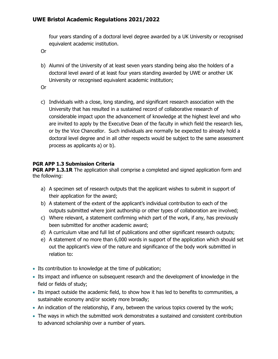four years standing of a doctoral level degree awarded by a UK University or recognised equivalent academic institution.

Or

b) Alumni of the University of at least seven years standing being also the holders of a doctoral level award of at least four years standing awarded by UWE or another UK University or recognised equivalent academic institution;

Or

c) Individuals with a close, long standing, and significant research association with the University that has resulted in a sustained record of collaborative research of considerable impact upon the advancement of knowledge at the highest level and who are invited to apply by the Executive Dean of the faculty in which field the research lies, or by the Vice Chancellor. Such individuals are normally be expected to already hold a doctoral level degree and in all other respects would be subject to the same assessment process as applicants a) or b).

#### **PGR APP 1.3 Submission Criteria**

**PGR APP 1.3.1R** The application shall comprise a completed and signed application form and the following:

- a) A specimen set of research outputs that the applicant wishes to submit in support of their application for the award;
- b) A statement of the extent of the applicant's individual contribution to each of the outputs submitted where joint authorship or other types of collaboration are involved;
- c) Where relevant, a statement confirming which part of the work, if any, has previously been submitted for another academic award;
- d) A curriculum vitae and full list of publications and other significant research outputs;
- e) A statement of no more than 6,000 words in support of the application which should set out the applicant's view of the nature and significance of the body work submitted in relation to:
- Its contribution to knowledge at the time of publication;
- Its impact and influence on subsequent research and the development of knowledge in the field or fields of study;
- Its impact outside the academic field, to show how it has led to benefits to communities, a sustainable economy and/or society more broadly;
- An indication of the relationship, if any, between the various topics covered by the work;
- The ways in which the submitted work demonstrates a sustained and consistent contribution to advanced scholarship over a number of years.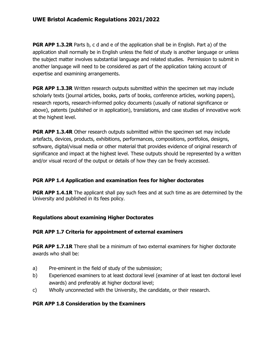**PGR APP 1.3.2R** Parts b, c d and e of the application shall be in English. Part a) of the application shall normally be in English unless the field of study is another language or unless the subject matter involves substantial language and related studies. Permission to submit in another language will need to be considered as part of the application taking account of expertise and examining arrangements.

**PGR APP 1.3.3R** Written research outputs submitted within the specimen set may include scholarly texts (journal articles, books, parts of books, conference articles, working papers), research reports, research-informed policy documents (usually of national significance or above), patents (published or in application), translations, and case studies of innovative work at the highest level.

**PGR APP 1.3.4R** Other research outputs submitted within the specimen set may include artefacts, devices, products, exhibitions, performances, compositions, portfolios, designs, software, digital/visual media or other material that provides evidence of original research of significance and impact at the highest level. These outputs should be represented by a written and/or visual record of the output or details of how they can be freely accessed.

#### **PGR APP 1.4 Application and examination fees for higher doctorates**

**PGR APP 1.4.1R** The applicant shall pay such fees and at such time as are determined by the University and published in its fees policy.

#### **Regulations about examining Higher Doctorates**

#### **PGR APP 1.7 Criteria for appointment of external examiners**

**PGR APP 1.7.1R** There shall be a minimum of two external examiners for higher doctorate awards who shall be:

- a) Pre-eminent in the field of study of the submission;
- b) Experienced examiners to at least doctoral level (examiner of at least ten doctoral level awards) and preferably at higher doctoral level;
- c) Wholly unconnected with the University, the candidate, or their research.

#### **PGR APP 1.8 Consideration by the Examiners**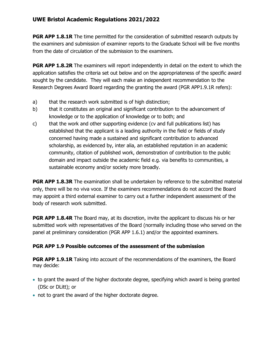**PGR APP 1.8.1R** The time permitted for the consideration of submitted research outputs by the examiners and submission of examiner reports to the Graduate School will be five months from the date of circulation of the submission to the examiners.

**PGR APP 1.8.2R** The examiners will report independently in detail on the extent to which the application satisfies the criteria set out below and on the appropriateness of the specific award sought by the candidate. They will each make an independent recommendation to the Research Degrees Award Board regarding the granting the award (PGR APP1.9.1R refers):

- a) that the research work submitted is of high distinction;
- b) that it constitutes an original and significant contribution to the advancement of knowledge or to the application of knowledge or to both; and
- c) that the work and other supporting evidence (cv and full publications list) has established that the applicant is a leading authority in the field or fields of study concerned having made a sustained and significant contribution to advanced scholarship, as evidenced by, inter alia, an established reputation in an academic community, citation of published work, demonstration of contribution to the public domain and impact outside the academic field e.g. via benefits to communities, a sustainable economy and/or society more broadly.

**PGR APP 1.8.3R** The examination shall be undertaken by reference to the submitted material only, there will be no viva voce. If the examiners recommendations do not accord the Board may appoint a third external examiner to carry out a further independent assessment of the body of research work submitted.

**PGR APP 1.8.4R** The Board may, at its discretion, invite the applicant to discuss his or her submitted work with representatives of the Board (normally including those who served on the panel at preliminary consideration (PGR APP 1.6.1) and/or the appointed examiners.

#### **PGR APP 1.9 Possible outcomes of the assessment of the submission**

**PGR APP 1.9.1R** Taking into account of the recommendations of the examiners, the Board may decide:

- to grant the award of the higher doctorate degree, specifying which award is being granted (DSc or DLitt); or
- not to grant the award of the higher doctorate degree.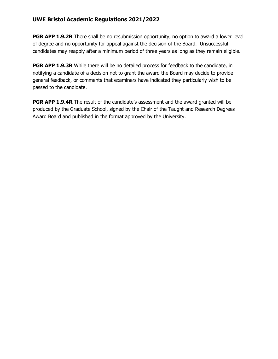**PGR APP 1.9.2R** There shall be no resubmission opportunity, no option to award a lower level of degree and no opportunity for appeal against the decision of the Board. Unsuccessful candidates may reapply after a minimum period of three years as long as they remain eligible.

**PGR APP 1.9.3R** While there will be no detailed process for feedback to the candidate, in notifying a candidate of a decision not to grant the award the Board may decide to provide general feedback, or comments that examiners have indicated they particularly wish to be passed to the candidate.

**PGR APP 1.9.4R** The result of the candidate's assessment and the award granted will be produced by the Graduate School, signed by the Chair of the Taught and Research Degrees Award Board and published in the format approved by the University.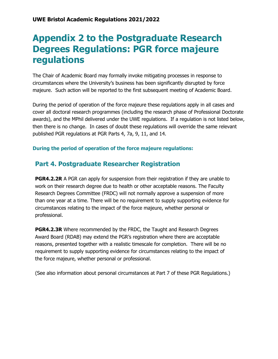### <span id="page-55-0"></span>**Appendix 2 to the Postgraduate Research Degrees Regulations: PGR force majeure regulations**

The Chair of Academic Board may formally invoke mitigating processes in response to circumstances where the University's business has been significantly disrupted by force majeure. Such action will be reported to the first subsequent meeting of Academic Board.

During the period of operation of the force majeure these regulations apply in all cases and cover all doctoral research programmes (including the research phase of Professional Doctorate awards), and the MPhil delivered under the UWE regulations. If a regulation is not listed below, then there is no change. In cases of doubt these regulations will override the same relevant published PGR regulations at PGR Parts 4, 7a, 9, 11, and 14.

**During the period of operation of the force majeure regulations:** 

### **Part 4. Postgraduate Researcher Registration**

**PGR4.2.2R** A PGR can apply for suspension from their registration if they are unable to work on their research degree due to health or other acceptable reasons. The Faculty Research Degrees Committee (FRDC) will not normally approve a suspension of more than one year at a time. There will be no requirement to supply supporting evidence for circumstances relating to the impact of the force majeure, whether personal or professional.

**PGR4.2.3R** Where recommended by the FRDC, the Taught and Research Degrees Award Board (RDAB) may extend the PGR's registration where there are acceptable reasons, presented together with a realistic timescale for completion. There will be no requirement to supply supporting evidence for circumstances relating to the impact of the force majeure, whether personal or professional.

(See also information about personal circumstances at Part 7 of these PGR Regulations.)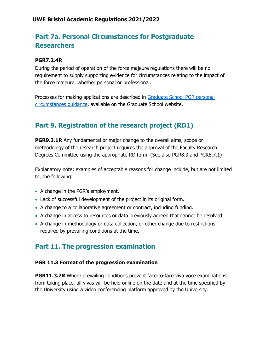### **Part 7a. Personal Circumstances for Postgraduate Researchers**

#### **PGR7.2.4R**

During the period of operation of the force majeure regulations there will be no requirement to supply supporting evidence for circumstances relating to the impact of the force majeure, whether personal or professional.

Processes for making applications are described in [Graduate School PGR personal](http://www1.uwe.ac.uk/research/postgraduateresearchstudy/currentpgresearchers/researchdegreeforms.aspx)  [circumstances guidance,](http://www1.uwe.ac.uk/research/postgraduateresearchstudy/currentpgresearchers/researchdegreeforms.aspx) available on the Graduate School website.

### **Part 9. Registration of the research project (RD1)**

**PGR9.3.1R** Any fundamental or major change to the overall aims, scope or methodology of the research project requires the approval of the Faculty Research Degrees Committee using the appropriate RD form. (See also PGR8.3 and PGR8.7.1)

Explanatory note: examples of acceptable reasons for change include, but are not limited to, the following:

- A change in the PGR's employment.
- Lack of successful development of the project in its original form.
- A change to a collaborative agreement or contract, including funding.
- A change in access to resources or data previously agreed that cannot be resolved.
- A change in methodology or data collection, or other change due to restrictions required by prevailing conditions at the time.

### **Part 11. The progression examination**

#### **PGR 11.3 Format of the progression examination**

**PGR11.3.2R** Where prevailing conditions prevent face-to-face viva voce examinations from taking place, all vivas will be held online on the date and at the time specified by the University using a video conferencing platform approved by the University.